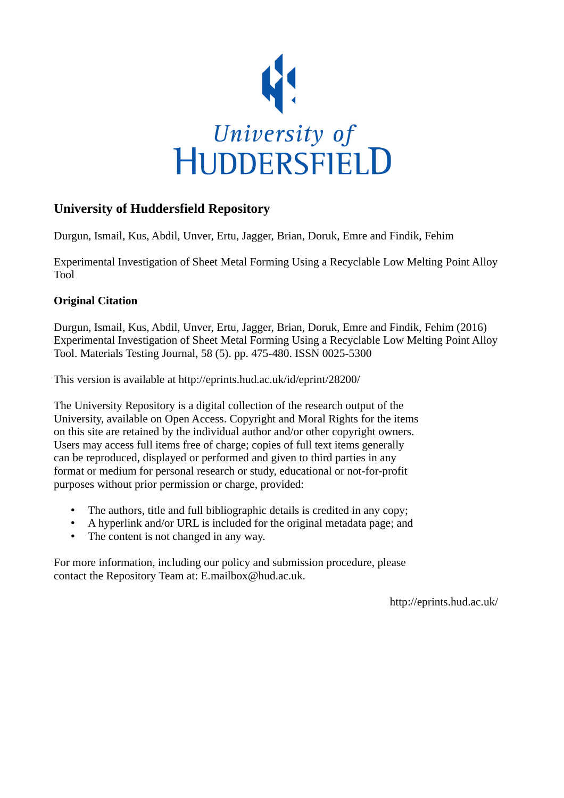

# **University of Huddersfield Repository**

Durgun, Ismail, Kus, Abdil, Unver, Ertu, Jagger, Brian, Doruk, Emre and Findik, Fehim

Experimental Investigation of Sheet Metal Forming Using a Recyclable Low Melting Point Alloy Tool

### **Original Citation**

Durgun, Ismail, Kus, Abdil, Unver, Ertu, Jagger, Brian, Doruk, Emre and Findik, Fehim (2016) Experimental Investigation of Sheet Metal Forming Using a Recyclable Low Melting Point Alloy Tool. Materials Testing Journal, 58 (5). pp. 475-480. ISSN 0025-5300

This version is available at http://eprints.hud.ac.uk/id/eprint/28200/

The University Repository is a digital collection of the research output of the University, available on Open Access. Copyright and Moral Rights for the items on this site are retained by the individual author and/or other copyright owners. Users may access full items free of charge; copies of full text items generally can be reproduced, displayed or performed and given to third parties in any format or medium for personal research or study, educational or not-for-profit purposes without prior permission or charge, provided:

- The authors, title and full bibliographic details is credited in any copy;
- A hyperlink and/or URL is included for the original metadata page; and
- The content is not changed in any way.

For more information, including our policy and submission procedure, please contact the Repository Team at: E.mailbox@hud.ac.uk.

http://eprints.hud.ac.uk/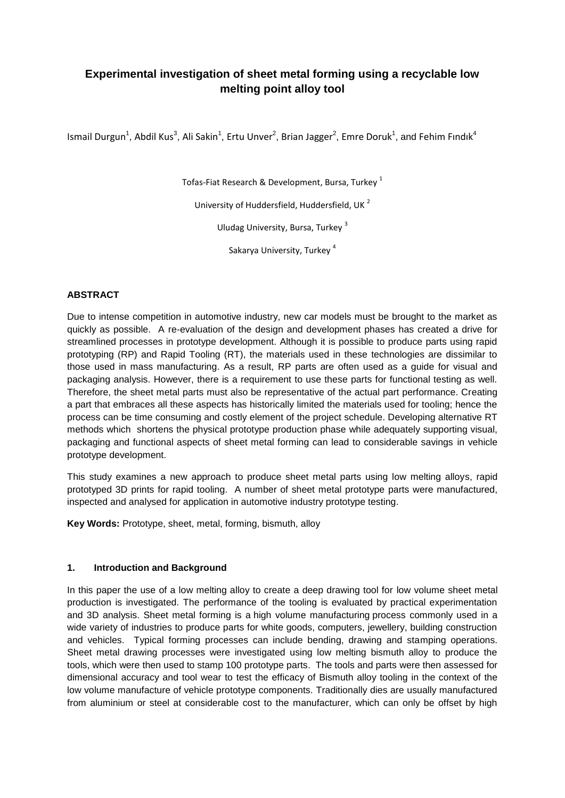## **Experimental investigation of sheet metal forming using a recyclable low melting point alloy tool**

Ismail Durgun<sup>1</sup>, Abdil Kus<sup>3</sup>, Ali Sakin<sup>1</sup>, Ertu Unver<sup>2</sup>, Brian Jagger<sup>2</sup>, Emre Doruk<sup>1</sup>, and Fehim Fındık<sup>4</sup>

Tofas-Fiat Research & Development, Bursa, Turkey<sup>1</sup>

University of Huddersfield, Huddersfield, UK <sup>2</sup>

Uludag University, Bursa, Turkey <sup>3</sup>

Sakarya University, Turkey<sup>4</sup>

#### **ABSTRACT**

Due to intense competition in automotive industry, new car models must be brought to the market as quickly as possible. A re-evaluation of the design and development phases has created a drive for streamlined processes in prototype development. Although it is possible to produce parts using rapid prototyping (RP) and Rapid Tooling (RT), the materials used in these technologies are dissimilar to those used in mass manufacturing. As a result, RP parts are often used as a guide for visual and packaging analysis. However, there is a requirement to use these parts for functional testing as well. Therefore, the sheet metal parts must also be representative of the actual part performance. Creating a part that embraces all these aspects has historically limited the materials used for tooling; hence the process can be time consuming and costly element of the project schedule. Developing alternative RT methods which shortens the physical prototype production phase while adequately supporting visual, packaging and functional aspects of sheet metal forming can lead to considerable savings in vehicle prototype development.

This study examines a new approach to produce sheet metal parts using low melting alloys, rapid prototyped 3D prints for rapid tooling. A number of sheet metal prototype parts were manufactured, inspected and analysed for application in automotive industry prototype testing.

**Key Words:** Prototype, sheet, metal, forming, bismuth, alloy

#### **1. Introduction and Background**

In this paper the use of a low melting alloy to create a deep drawing tool for low volume sheet metal production is investigated. The performance of the tooling is evaluated by practical experimentation and 3D analysis. Sheet metal forming is a high volume manufacturing process commonly used in a wide variety of industries to produce parts for white goods, computers, jewellery, building construction and vehicles. Typical forming processes can include bending, drawing and stamping operations. Sheet metal drawing processes were investigated using low melting bismuth alloy to produce the tools, which were then used to stamp 100 prototype parts. The tools and parts were then assessed for dimensional accuracy and tool wear to test the efficacy of Bismuth alloy tooling in the context of the low volume manufacture of vehicle prototype components. Traditionally dies are usually manufactured from aluminium or steel at considerable cost to the manufacturer, which can only be offset by high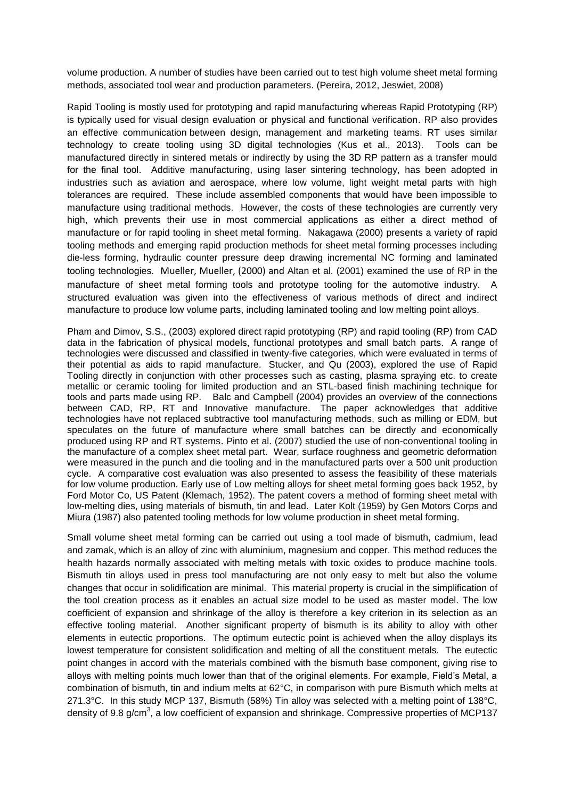volume production. A number of studies have been carried out to test high volume sheet metal forming methods, associated tool wear and production parameters. (Pereira, 2012, Jeswiet, 2008)

Rapid Tooling is mostly used for prototyping and rapid manufacturing whereas Rapid Prototyping (RP) is typically used for visual design evaluation or physical and functional verification. RP also provides an effective communication between design, management and marketing teams. RT uses similar technology to create tooling using 3D digital technologies (Kus et al., 2013). Tools can be manufactured directly in sintered metals or indirectly by using the 3D RP pattern as a transfer mould for the final tool. Additive manufacturing, using laser sintering technology, has been adopted in industries such as aviation and aerospace, where low volume, light weight metal parts with high tolerances are required. These include assembled components that would have been impossible to manufacture using traditional methods. However, the costs of these technologies are currently very high, which prevents their use in most commercial applications as either a direct method of manufacture or for rapid tooling in sheet metal forming. Nakagawa (2000) presents a variety of rapid tooling methods and emerging rapid production methods for sheet metal forming processes including die-less forming, hydraulic counter pressure deep drawing incremental NC forming and laminated tooling technologies. Mueller, Mueller, (2000) and Altan et al. (2001) examined the use of RP in the manufacture of sheet metal forming tools and prototype tooling for the automotive industry. A structured evaluation was given into the effectiveness of various methods of direct and indirect manufacture to produce low volume parts, including laminated tooling and low melting point alloys.

Pham and Dimov, S.S., (2003) explored direct rapid prototyping (RP) and rapid tooling (RP) from CAD data in the fabrication of physical models, functional prototypes and small batch parts. A range of technologies were discussed and classified in twenty-five categories, which were evaluated in terms of their potential as aids to rapid manufacture. Stucker, and Qu (2003), explored the use of Rapid Tooling directly in conjunction with other processes such as casting, plasma spraying etc. to create metallic or ceramic tooling for limited production and an STL-based finish machining technique for tools and parts made using RP. Balc and Campbell (2004) provides an overview of the connections between CAD, RP, RT and Innovative manufacture. The paper acknowledges that additive technologies have not replaced subtractive tool manufacturing methods, such as milling or EDM, but speculates on the future of manufacture where small batches can be directly and economically produced using RP and RT systems. Pinto et al. (2007) studied the use of non-conventional tooling in the manufacture of a complex sheet metal part. Wear, surface roughness and geometric deformation were measured in the punch and die tooling and in the manufactured parts over a 500 unit production cycle. A comparative cost evaluation was also presented to assess the feasibility of these materials for low volume production. Early use of Low melting alloys for sheet metal forming goes back 1952, by Ford Motor Co, US Patent (Klemach, 1952). The patent covers a method of forming sheet metal with low-melting dies, using materials of bismuth, tin and lead. Later Kolt (1959) by Gen Motors Corps and Miura (1987) also patented tooling methods for low volume production in sheet metal forming.

Small volume sheet metal forming can be carried out using a tool made of bismuth, cadmium, lead and zamak, which is an alloy of zinc with aluminium, magnesium and copper. This method reduces the health hazards normally associated with melting metals with toxic oxides to produce machine tools. Bismuth tin alloys used in press tool manufacturing are not only easy to melt but also the volume changes that occur in solidification are minimal. This material property is crucial in the simplification of the tool creation process as it enables an actual size model to be used as master model. The low coefficient of expansion and shrinkage of the alloy is therefore a key criterion in its selection as an effective tooling material. Another significant property of bismuth is its ability to alloy with other elements in eutectic proportions. The optimum eutectic point is achieved when the alloy displays its lowest temperature for consistent solidification and melting of all the constituent metals. The eutectic point changes in accord with the materials combined with the bismuth base component, giving rise to alloys with melting points much lower than that of the original elements. For example, Field's Metal, a combination of bismuth, tin and indium melts at 62°C, in comparison with pure Bismuth which melts at 271.3°C. In this study MCP 137, Bismuth (58%) Tin alloy was selected with a melting point of 138°C, density of 9.8 g/cm<sup>3</sup>, a low coefficient of expansion and shrinkage. Compressive properties of MCP137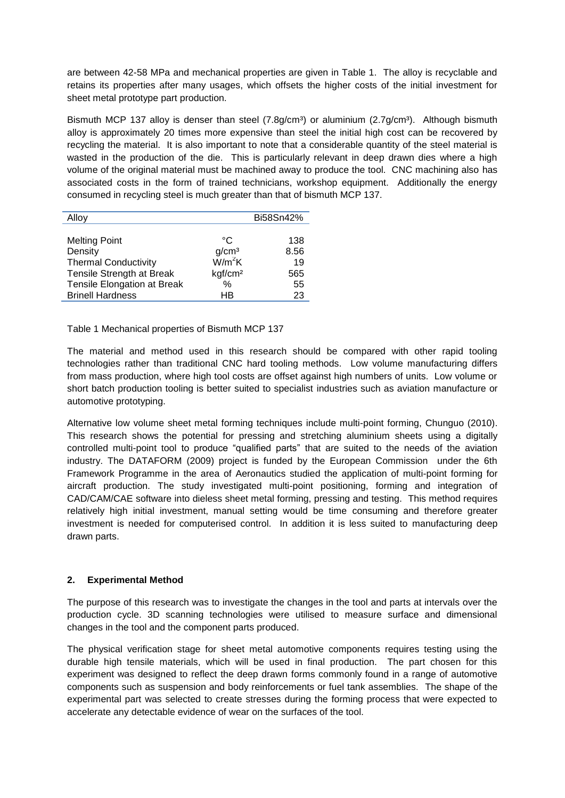are between 42-58 MPa and mechanical properties are given in Table 1. The alloy is recyclable and retains its properties after many usages, which offsets the higher costs of the initial investment for sheet metal prototype part production.

Bismuth MCP 137 alloy is denser than steel  $(7.8g/cm<sup>3</sup>)$  or aluminium  $(2.7g/cm<sup>3</sup>)$ . Although bismuth alloy is approximately 20 times more expensive than steel the initial high cost can be recovered by recycling the material. It is also important to note that a considerable quantity of the steel material is wasted in the production of the die. This is particularly relevant in deep drawn dies where a high volume of the original material must be machined away to produce the tool. CNC machining also has associated costs in the form of trained technicians, workshop equipment. Additionally the energy consumed in recycling steel is much greater than that of bismuth MCP 137.

| Alloy                       |                     | Bi58Sn42% |
|-----------------------------|---------------------|-----------|
|                             |                     |           |
| <b>Melting Point</b>        | °C                  | 138       |
| Density                     | g/cm <sup>3</sup>   | 8.56      |
| <b>Thermal Conductivity</b> | $\rm W/m^2K$        | 19        |
| Tensile Strength at Break   | kgf/cm <sup>2</sup> | 565       |
| Tensile Elongation at Break | $\%$                | 55        |
| <b>Brinell Hardness</b>     | ΗB                  | 23        |

Table 1 Mechanical properties of Bismuth MCP 137

The material and method used in this research should be compared with other rapid tooling technologies rather than traditional CNC hard tooling methods. Low volume manufacturing differs from mass production, where high tool costs are offset against high numbers of units. Low volume or short batch production tooling is better suited to specialist industries such as aviation manufacture or automotive prototyping.

Alternative low volume sheet metal forming techniques include multi-point forming, Chunguo (2010). This research shows the potential for pressing and stretching aluminium sheets using a digitally controlled multi-point tool to produce "qualified parts" that are suited to the needs of the aviation industry. The DATAFORM (2009) project is funded by the European Commission under the 6th Framework Programme in the area of Aeronautics studied the application of multi-point forming for aircraft production. The study investigated multi-point positioning, forming and integration of CAD/CAM/CAE software into dieless sheet metal forming, pressing and testing. This method requires relatively high initial investment, manual setting would be time consuming and therefore greater investment is needed for computerised control. In addition it is less suited to manufacturing deep drawn parts.

### **2. Experimental Method**

The purpose of this research was to investigate the changes in the tool and parts at intervals over the production cycle. 3D scanning technologies were utilised to measure surface and dimensional changes in the tool and the component parts produced.

The physical verification stage for sheet metal automotive components requires testing using the durable high tensile materials, which will be used in final production. The part chosen for this experiment was designed to reflect the deep drawn forms commonly found in a range of automotive components such as suspension and body reinforcements or fuel tank assemblies. The shape of the experimental part was selected to create stresses during the forming process that were expected to accelerate any detectable evidence of wear on the surfaces of the tool.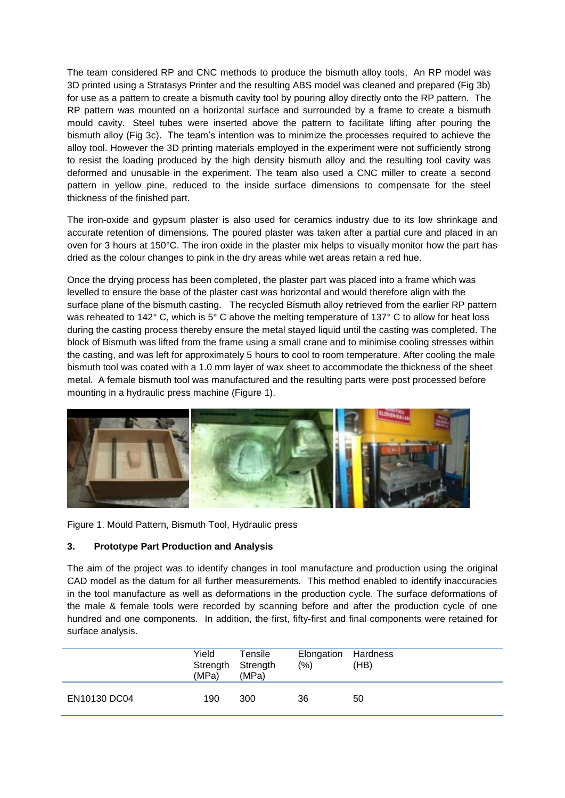The team considered RP and CNC methods to produce the bismuth alloy tools, An RP model was 3D printed using a Stratasys Printer and the resulting ABS model was cleaned and prepared (Fig 3b) for use as a pattern to create a bismuth cavity tool by pouring alloy directly onto the RP pattern. The RP pattern was mounted on a horizontal surface and surrounded by a frame to create a bismuth mould cavity. Steel tubes were inserted above the pattern to facilitate lifting after pouring the bismuth alloy (Fig 3c). The team's intention was to minimize the processes required to achieve the alloy tool. However the 3D printing materials employed in the experiment were not sufficiently strong to resist the loading produced by the high density bismuth alloy and the resulting tool cavity was deformed and unusable in the experiment. The team also used a CNC miller to create a second pattern in yellow pine, reduced to the inside surface dimensions to compensate for the steel thickness of the finished part.

The iron-oxide and gypsum plaster is also used for ceramics industry due to its low shrinkage and accurate retention of dimensions. The poured plaster was taken after a partial cure and placed in an oven for 3 hours at 150°C. The iron oxide in the plaster mix helps to visually monitor how the part has dried as the colour changes to pink in the dry areas while wet areas retain a red hue.

Once the drying process has been completed, the plaster part was placed into a frame which was levelled to ensure the base of the plaster cast was horizontal and would therefore align with the surface plane of the bismuth casting. The recycled Bismuth alloy retrieved from the earlier RP pattern was reheated to 142° C, which is 5° C above the melting temperature of 137° C to allow for heat loss during the casting process thereby ensure the metal stayed liquid until the casting was completed. The block of Bismuth was lifted from the frame using a small crane and to minimise cooling stresses within the casting, and was left for approximately 5 hours to cool to room temperature. After cooling the male bismuth tool was coated with a 1.0 mm layer of wax sheet to accommodate the thickness of the sheet metal. A female bismuth tool was manufactured and the resulting parts were post processed before mounting in a hydraulic press machine (Figure 1).



Figure 1. Mould Pattern, Bismuth Tool, Hydraulic press

### **3. Prototype Part Production and Analysis**

The aim of the project was to identify changes in tool manufacture and production using the original CAD model as the datum for all further measurements. This method enabled to identify inaccuracies in the tool manufacture as well as deformations in the production cycle. The surface deformations of the male & female tools were recorded by scanning before and after the production cycle of one hundred and one components. In addition, the first, fifty-first and final components were retained for surface analysis.

|              | Yield<br>Strength Strength<br>(MPa) | Tensile<br>(MPa) | Elongation<br>(% ) | Hardness<br>(HB) |
|--------------|-------------------------------------|------------------|--------------------|------------------|
| EN10130 DC04 | 190                                 | 300              | 36                 | 50               |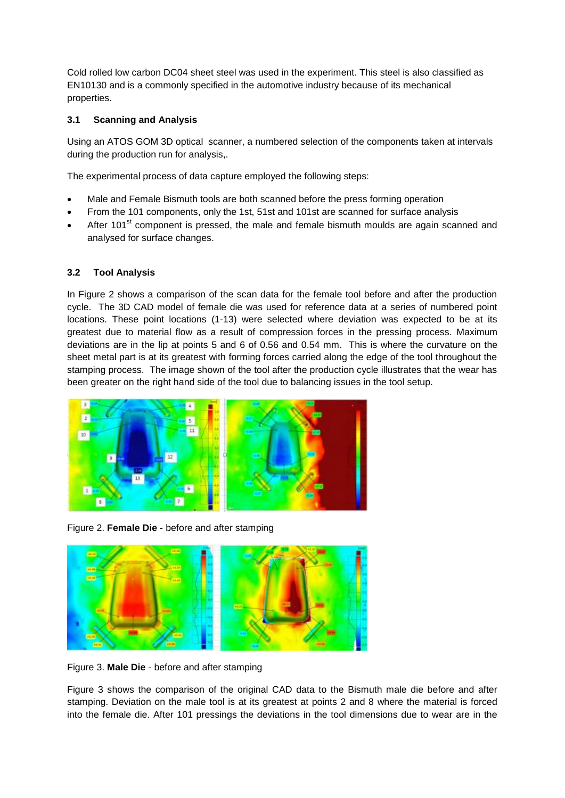Cold rolled low carbon DC04 sheet steel was used in the experiment. This steel is also classified as EN10130 and is a commonly specified in the automotive industry because of its mechanical properties.

#### **3.1 Scanning and Analysis**

Using an ATOS GOM 3D optical scanner, a numbered selection of the components taken at intervals during the production run for analysis,.

The experimental process of data capture employed the following steps:

- Male and Female Bismuth tools are both scanned before the press forming operation
- From the 101 components, only the 1st, 51st and 101st are scanned for surface analysis
- After 101<sup>st</sup> component is pressed, the male and female bismuth moulds are again scanned and analysed for surface changes.

#### **3.2 Tool Analysis**

In Figure 2 shows a comparison of the scan data for the female tool before and after the production cycle. The 3D CAD model of female die was used for reference data at a series of numbered point locations. These point locations (1-13) were selected where deviation was expected to be at its greatest due to material flow as a result of compression forces in the pressing process. Maximum deviations are in the lip at points 5 and 6 of 0.56 and 0.54 mm. This is where the curvature on the sheet metal part is at its greatest with forming forces carried along the edge of the tool throughout the stamping process. The image shown of the tool after the production cycle illustrates that the wear has been greater on the right hand side of the tool due to balancing issues in the tool setup.



Figure 2. **Female Die** - before and after stamping



Figure 3. **Male Die** - before and after stamping

Figure 3 shows the comparison of the original CAD data to the Bismuth male die before and after stamping. Deviation on the male tool is at its greatest at points 2 and 8 where the material is forced into the female die. After 101 pressings the deviations in the tool dimensions due to wear are in the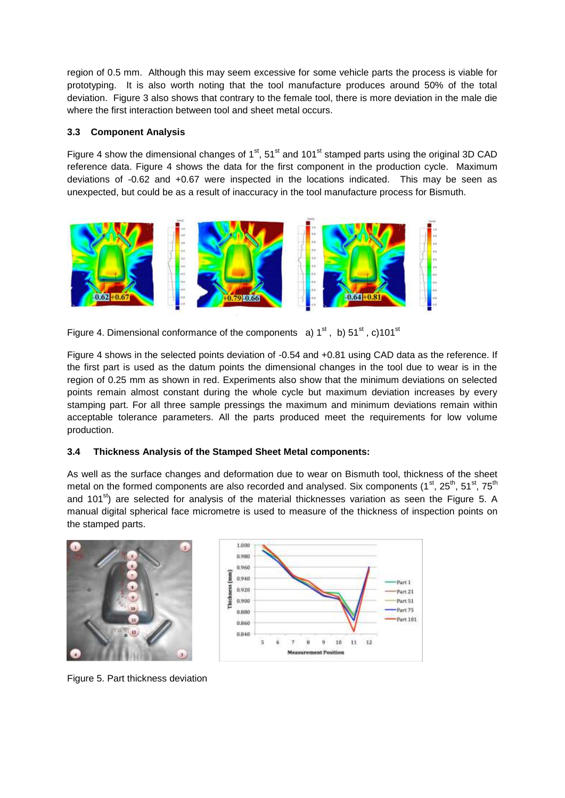region of 0.5 mm. Although this may seem excessive for some vehicle parts the process is viable for prototyping. It is also worth noting that the tool manufacture produces around 50% of the total deviation. Figure 3 also shows that contrary to the female tool, there is more deviation in the male die where the first interaction between tool and sheet metal occurs.

#### **3.3 Component Analysis**

Figure 4 show the dimensional changes of  $1<sup>st</sup>$ ,  $51<sup>st</sup>$  and  $101<sup>st</sup>$  stamped parts using the original 3D CAD reference data. Figure 4 shows the data for the first component in the production cycle. Maximum deviations of -0.62 and +0.67 were inspected in the locations indicated. This may be seen as unexpected, but could be as a result of inaccuracy in the tool manufacture process for Bismuth.



Figure 4. Dimensional conformance of the components  $a) 1^{st}$ , b)  $51^{st}$ , c)101<sup>st</sup>

Figure 4 shows in the selected points deviation of -0.54 and +0.81 using CAD data as the reference. If the first part is used as the datum points the dimensional changes in the tool due to wear is in the region of 0.25 mm as shown in red. Experiments also show that the minimum deviations on selected points remain almost constant during the whole cycle but maximum deviation increases by every stamping part. For all three sample pressings the maximum and minimum deviations remain within acceptable tolerance parameters. All the parts produced meet the requirements for low volume production.

### **3.4 Thickness Analysis of the Stamped Sheet Metal components:**

As well as the surface changes and deformation due to wear on Bismuth tool, thickness of the sheet metal on the formed components are also recorded and analysed. Six components ( $1<sup>st</sup>$ ,  $25<sup>th</sup>$ ,  $51<sup>st</sup>$ ,  $75<sup>th</sup>$ and 101 $^{st}$ ) are selected for analysis of the material thicknesses variation as seen the Figure 5. A manual digital spherical face micrometre is used to measure of the thickness of inspection points on the stamped parts.





Figure 5. Part thickness deviation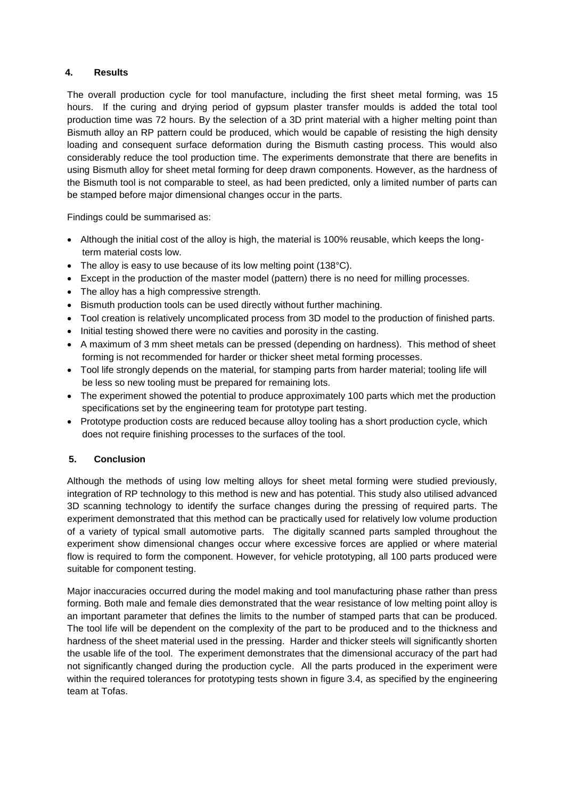#### **4. Results**

The overall production cycle for tool manufacture, including the first sheet metal forming, was 15 hours. If the curing and drying period of gypsum plaster transfer moulds is added the total tool production time was 72 hours. By the selection of a 3D print material with a higher melting point than Bismuth alloy an RP pattern could be produced, which would be capable of resisting the high density loading and consequent surface deformation during the Bismuth casting process. This would also considerably reduce the tool production time. The experiments demonstrate that there are benefits in using Bismuth alloy for sheet metal forming for deep drawn components. However, as the hardness of the Bismuth tool is not comparable to steel, as had been predicted, only a limited number of parts can be stamped before major dimensional changes occur in the parts.

Findings could be summarised as:

- Although the initial cost of the alloy is high, the material is 100% reusable, which keeps the longterm material costs low.
- The alloy is easy to use because of its low melting point (138°C).
- Except in the production of the master model (pattern) there is no need for milling processes.
- The alloy has a high compressive strength.
- Bismuth production tools can be used directly without further machining.
- Tool creation is relatively uncomplicated process from 3D model to the production of finished parts.
- Initial testing showed there were no cavities and porosity in the casting.
- A maximum of 3 mm sheet metals can be pressed (depending on hardness). This method of sheet forming is not recommended for harder or thicker sheet metal forming processes.
- Tool life strongly depends on the material, for stamping parts from harder material; tooling life will be less so new tooling must be prepared for remaining lots.
- The experiment showed the potential to produce approximately 100 parts which met the production specifications set by the engineering team for prototype part testing.
- Prototype production costs are reduced because alloy tooling has a short production cycle, which does not require finishing processes to the surfaces of the tool.

### **5. Conclusion**

Although the methods of using low melting alloys for sheet metal forming were studied previously, integration of RP technology to this method is new and has potential. This study also utilised advanced 3D scanning technology to identify the surface changes during the pressing of required parts. The experiment demonstrated that this method can be practically used for relatively low volume production of a variety of typical small automotive parts. The digitally scanned parts sampled throughout the experiment show dimensional changes occur where excessive forces are applied or where material flow is required to form the component. However, for vehicle prototyping, all 100 parts produced were suitable for component testing.

Major inaccuracies occurred during the model making and tool manufacturing phase rather than press forming. Both male and female dies demonstrated that the wear resistance of low melting point alloy is an important parameter that defines the limits to the number of stamped parts that can be produced. The tool life will be dependent on the complexity of the part to be produced and to the thickness and hardness of the sheet material used in the pressing. Harder and thicker steels will significantly shorten the usable life of the tool. The experiment demonstrates that the dimensional accuracy of the part had not significantly changed during the production cycle. All the parts produced in the experiment were within the required tolerances for prototyping tests shown in figure 3.4, as specified by the engineering team at Tofas.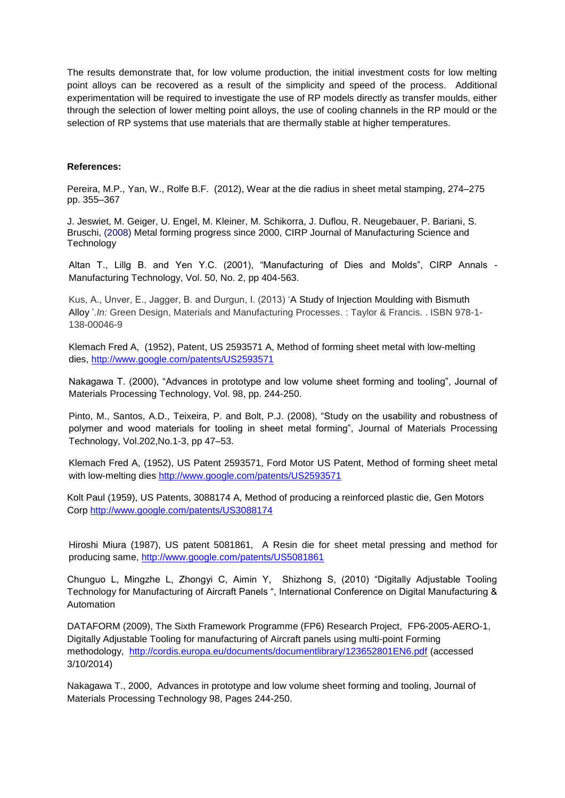The results demonstrate that, for low volume production, the initial investment costs for low melting point alloys can be recovered as a result of the simplicity and speed of the process. Additional experimentation will be required to investigate the use of RP models directly as transfer moulds, either through the selection of lower melting point alloys, the use of cooling channels in the RP mould or the selection of RP systems that use materials that are thermally stable at higher temperatures.

#### **References:**

Pereira, M.P., Yan, W., Rolfe B.F. (2012), Wear at the die radius in sheet metal stamping, 274–275 pp. 355–367

J. Jeswiet, M. Geiger, U. Engel, M. Kleiner, M. Schikorra, J. Duflou, R. Neugebauer, P. Bariani, S. Bruschi, (2008) Metal forming progress since 2000, CIRP Journal of Manufacturing Science and **Technology** 

Altan T., Lillg B. and Yen Y.C. (2001), "Manufacturing of Dies and Molds", CIRP Annals - Manufacturing Technology, Vol. 50, No. 2, pp 404-563.

Kus, A., Unver, E., Jagger, B. and Durgun, I. (2013) 'A Study of Injection Moulding with Bismuth Alloy '.*In:* Green Design, Materials and Manufacturing Processes. : Taylor & Francis. . ISBN 978-1- 138-00046-9

Klemach Fred A, (1952), Patent, US 2593571 A, Method of forming sheet metal with low-melting dies,<http://www.google.com/patents/US2593571>

Nakagawa T. (2000), "Advances in prototype and low volume sheet forming and tooling", Journal of Materials Processing Technology, Vol. 98, pp. 244-250.

Pinto, M., Santos, A.D., Teixeira, P. and Bolt, P.J. (2008), "Study on the usability and robustness of polymer and wood materials for tooling in sheet metal forming", Journal of Materials Processing Technology, Vol.202,No.1-3, pp 47–53.

Klemach Fred A, (1952), US Patent 2593571, Ford Motor US Patent, Method of forming sheet metal with low-melting dies <http://www.google.com/patents/US2593571>

Kolt Paul (1959), US Patents, 3088174 A, Method of producing a reinforced plastic die, Gen Motors Corp <http://www.google.com/patents/US3088174>

Hiroshi Miura (1987), US patent 5081861, A Resin die for sheet metal pressing and method for producing same,<http://www.google.com/patents/US5081861>

Chunguo L, Mingzhe L, Zhongyi C, Aimin Y, Shizhong S, (2010) "Digitally Adjustable Tooling Technology for Manufacturing of Aircraft Panels ", International Conference on Digital Manufacturing & Automation

DATAFORM (2009), The Sixth Framework Programme (FP6) Research Project, FP6-2005-AERO-1, Digitally Adjustable Tooling for manufacturing of Aircraft panels using multi-point Forming methodology, <http://cordis.europa.eu/documents/documentlibrary/123652801EN6.pdf> (accessed 3/10/2014)

Nakagawa T., 2000, Advances in prototype and low volume sheet forming and tooling, Journal of Materials Processing Technology 98, Pages 244-250.